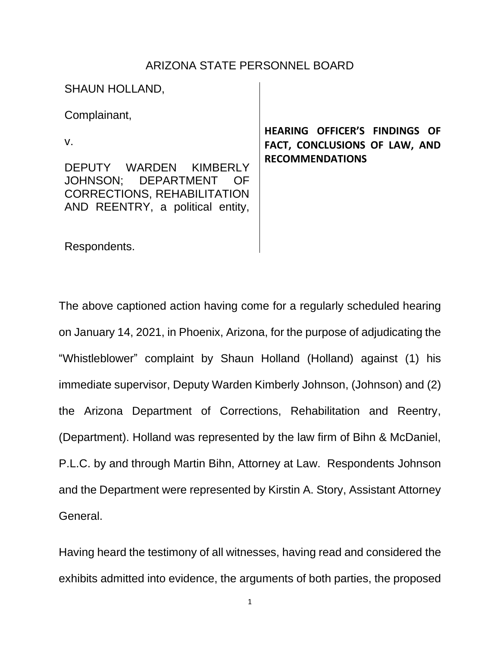## ARIZONA STATE PERSONNEL BOARD

SHAUN HOLLAND,

Complainant,

v.

DEPUTY WARDEN KIMBERLY JOHNSON; DEPARTMENT OF CORRECTIONS, REHABILITATION AND REENTRY, a political entity,

**HEARING OFFICER'S FINDINGS OF FACT, CONCLUSIONS OF LAW, AND RECOMMENDATIONS**

Respondents.

The above captioned action having come for a regularly scheduled hearing on January 14, 2021, in Phoenix, Arizona, for the purpose of adjudicating the "Whistleblower" complaint by Shaun Holland (Holland) against (1) his immediate supervisor, Deputy Warden Kimberly Johnson, (Johnson) and (2) the Arizona Department of Corrections, Rehabilitation and Reentry, (Department). Holland was represented by the law firm of Bihn & McDaniel, P.L.C. by and through Martin Bihn, Attorney at Law. Respondents Johnson and the Department were represented by Kirstin A. Story, Assistant Attorney General.

Having heard the testimony of all witnesses, having read and considered the exhibits admitted into evidence, the arguments of both parties, the proposed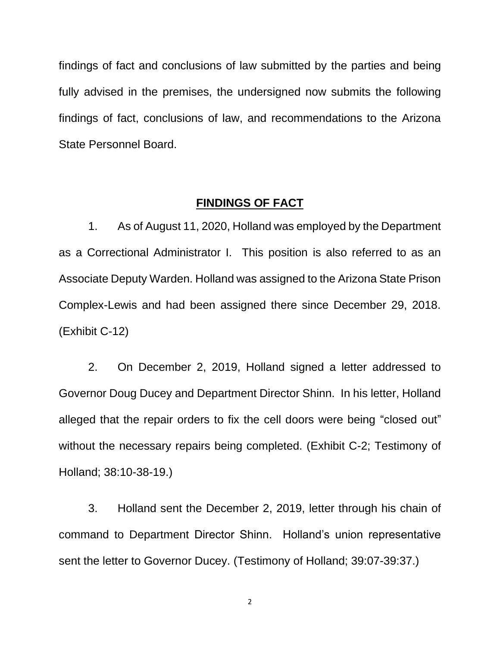findings of fact and conclusions of law submitted by the parties and being fully advised in the premises, the undersigned now submits the following findings of fact, conclusions of law, and recommendations to the Arizona State Personnel Board.

## **FINDINGS OF FACT**

1. As of August 11, 2020, Holland was employed by the Department as a Correctional Administrator I. This position is also referred to as an Associate Deputy Warden. Holland was assigned to the Arizona State Prison Complex-Lewis and had been assigned there since December 29, 2018. (Exhibit C-12)

2. On December 2, 2019, Holland signed a letter addressed to Governor Doug Ducey and Department Director Shinn. In his letter, Holland alleged that the repair orders to fix the cell doors were being "closed out" without the necessary repairs being completed. (Exhibit C-2; Testimony of Holland; 38:10-38-19.)

3. Holland sent the December 2, 2019, letter through his chain of command to Department Director Shinn. Holland's union representative sent the letter to Governor Ducey. (Testimony of Holland; 39:07-39:37.)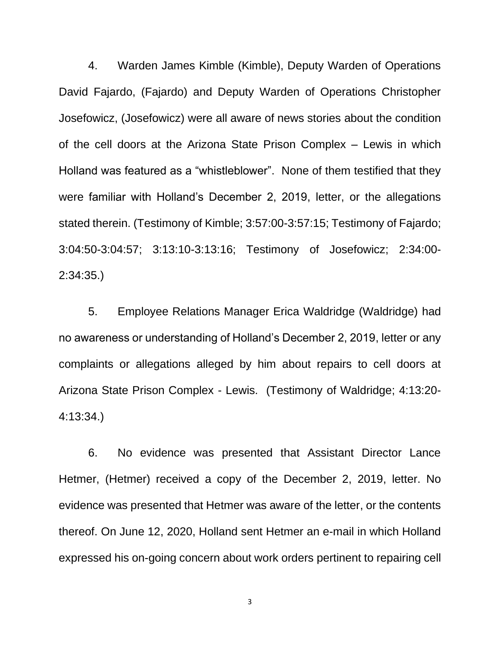4. Warden James Kimble (Kimble), Deputy Warden of Operations David Fajardo, (Fajardo) and Deputy Warden of Operations Christopher Josefowicz, (Josefowicz) were all aware of news stories about the condition of the cell doors at the Arizona State Prison Complex – Lewis in which Holland was featured as a "whistleblower". None of them testified that they were familiar with Holland's December 2, 2019, letter, or the allegations stated therein. (Testimony of Kimble; 3:57:00-3:57:15; Testimony of Fajardo; 3:04:50-3:04:57; 3:13:10-3:13:16; Testimony of Josefowicz; 2:34:00- 2:34:35.)

5. Employee Relations Manager Erica Waldridge (Waldridge) had no awareness or understanding of Holland's December 2, 2019, letter or any complaints or allegations alleged by him about repairs to cell doors at Arizona State Prison Complex - Lewis. (Testimony of Waldridge; 4:13:20- 4:13:34.)

6. No evidence was presented that Assistant Director Lance Hetmer, (Hetmer) received a copy of the December 2, 2019, letter. No evidence was presented that Hetmer was aware of the letter, or the contents thereof. On June 12, 2020, Holland sent Hetmer an e-mail in which Holland expressed his on-going concern about work orders pertinent to repairing cell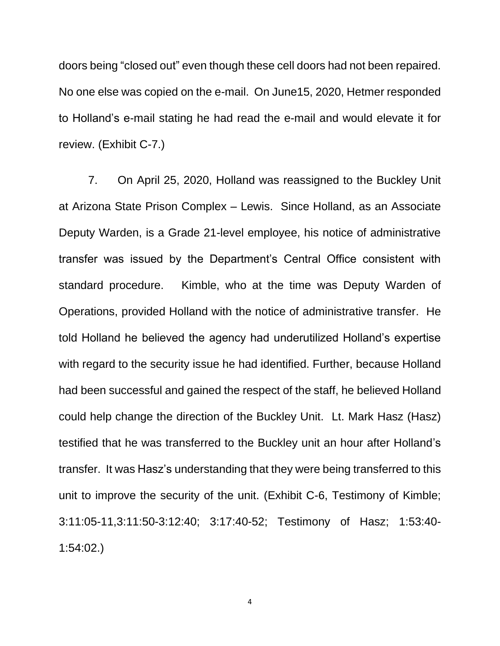doors being "closed out" even though these cell doors had not been repaired. No one else was copied on the e-mail. On June15, 2020, Hetmer responded to Holland's e-mail stating he had read the e-mail and would elevate it for review. (Exhibit C-7.)

7. On April 25, 2020, Holland was reassigned to the Buckley Unit at Arizona State Prison Complex – Lewis. Since Holland, as an Associate Deputy Warden, is a Grade 21-level employee, his notice of administrative transfer was issued by the Department's Central Office consistent with standard procedure. Kimble, who at the time was Deputy Warden of Operations, provided Holland with the notice of administrative transfer. He told Holland he believed the agency had underutilized Holland's expertise with regard to the security issue he had identified. Further, because Holland had been successful and gained the respect of the staff, he believed Holland could help change the direction of the Buckley Unit. Lt. Mark Hasz (Hasz) testified that he was transferred to the Buckley unit an hour after Holland's transfer. It was Hasz's understanding that they were being transferred to this unit to improve the security of the unit. (Exhibit C-6, Testimony of Kimble; 3:11:05-11,3:11:50-3:12:40; 3:17:40-52; Testimony of Hasz; 1:53:40- 1:54:02.)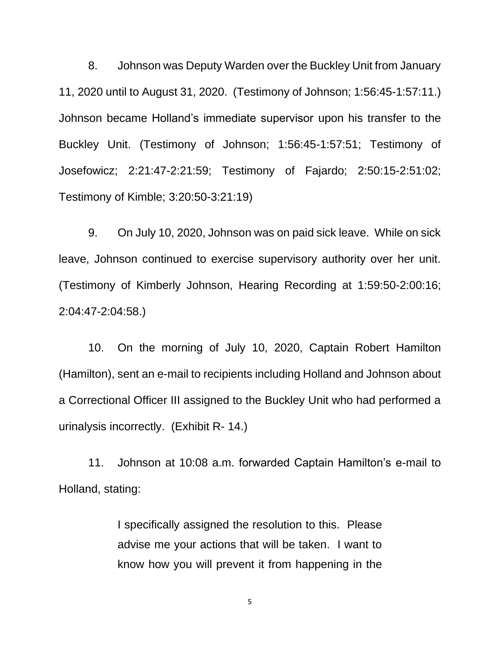8. Johnson was Deputy Warden over the Buckley Unit from January 11, 2020 until to August 31, 2020. (Testimony of Johnson; 1:56:45-1:57:11.) Johnson became Holland's immediate supervisor upon his transfer to the Buckley Unit. (Testimony of Johnson; 1:56:45-1:57:51; Testimony of Josefowicz; 2:21:47-2:21:59; Testimony of Fajardo; 2:50:15-2:51:02; Testimony of Kimble; 3:20:50-3:21:19)

9. On July 10, 2020, Johnson was on paid sick leave. While on sick leave, Johnson continued to exercise supervisory authority over her unit. (Testimony of Kimberly Johnson, Hearing Recording at 1:59:50-2:00:16; 2:04:47-2:04:58.)

10. On the morning of July 10, 2020, Captain Robert Hamilton (Hamilton), sent an e-mail to recipients including Holland and Johnson about a Correctional Officer III assigned to the Buckley Unit who had performed a urinalysis incorrectly. (Exhibit R- 14.)

11. Johnson at 10:08 a.m. forwarded Captain Hamilton's e-mail to Holland, stating:

> I specifically assigned the resolution to this. Please advise me your actions that will be taken. I want to know how you will prevent it from happening in the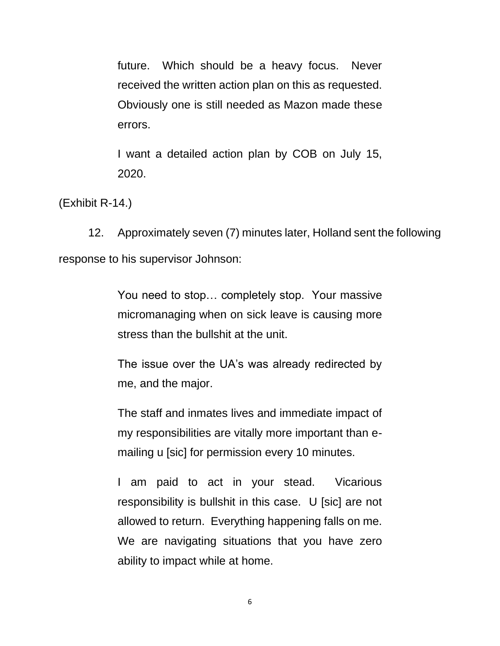future. Which should be a heavy focus. Never received the written action plan on this as requested. Obviously one is still needed as Mazon made these errors.

I want a detailed action plan by COB on July 15, 2020.

(Exhibit R-14.)

12. Approximately seven (7) minutes later, Holland sent the following response to his supervisor Johnson:

> You need to stop… completely stop. Your massive micromanaging when on sick leave is causing more stress than the bullshit at the unit.

> The issue over the UA's was already redirected by me, and the major.

> The staff and inmates lives and immediate impact of my responsibilities are vitally more important than emailing u [sic] for permission every 10 minutes.

> I am paid to act in your stead. Vicarious responsibility is bullshit in this case. U [sic] are not allowed to return. Everything happening falls on me. We are navigating situations that you have zero ability to impact while at home.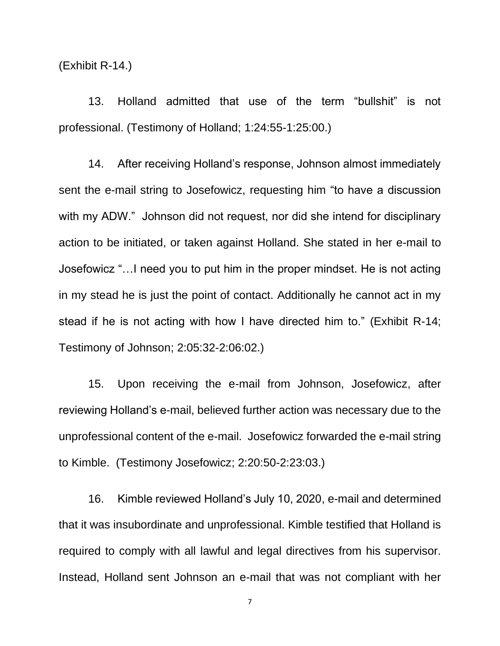(Exhibit R-14.)

13. Holland admitted that use of the term "bullshit" is not professional. (Testimony of Holland; 1:24:55-1:25:00.)

14. After receiving Holland's response, Johnson almost immediately sent the e-mail string to Josefowicz, requesting him "to have a discussion with my ADW." Johnson did not request, nor did she intend for disciplinary action to be initiated, or taken against Holland. She stated in her e-mail to Josefowicz "…I need you to put him in the proper mindset. He is not acting in my stead he is just the point of contact. Additionally he cannot act in my stead if he is not acting with how I have directed him to." (Exhibit R-14; Testimony of Johnson; 2:05:32-2:06:02.)

15. Upon receiving the e-mail from Johnson, Josefowicz, after reviewing Holland's e-mail, believed further action was necessary due to the unprofessional content of the e-mail. Josefowicz forwarded the e-mail string to Kimble. (Testimony Josefowicz; 2:20:50-2:23:03.)

16. Kimble reviewed Holland's July 10, 2020, e-mail and determined that it was insubordinate and unprofessional. Kimble testified that Holland is required to comply with all lawful and legal directives from his supervisor. Instead, Holland sent Johnson an e-mail that was not compliant with her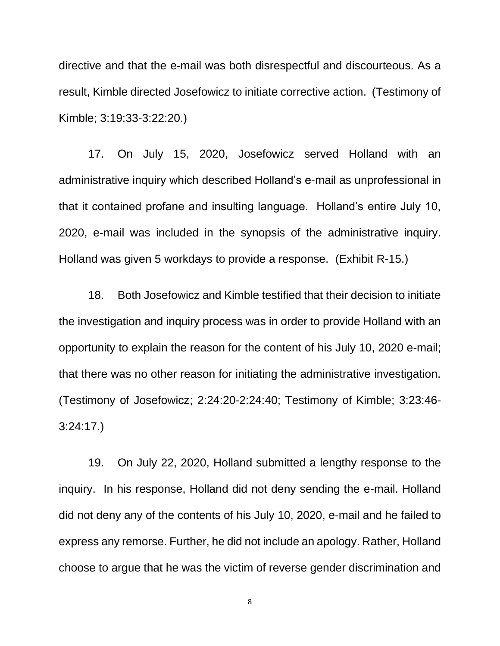directive and that the e-mail was both disrespectful and discourteous. As a result, Kimble directed Josefowicz to initiate corrective action. (Testimony of Kimble; 3:19:33-3:22:20.)

17. On July 15, 2020, Josefowicz served Holland with an administrative inquiry which described Holland's e-mail as unprofessional in that it contained profane and insulting language. Holland's entire July 10, 2020, e-mail was included in the synopsis of the administrative inquiry. Holland was given 5 workdays to provide a response. (Exhibit R-15.)

18. Both Josefowicz and Kimble testified that their decision to initiate the investigation and inquiry process was in order to provide Holland with an opportunity to explain the reason for the content of his July 10, 2020 e-mail; that there was no other reason for initiating the administrative investigation. (Testimony of Josefowicz; 2:24:20-2:24:40; Testimony of Kimble; 3:23:46- 3:24:17.)

19. On July 22, 2020, Holland submitted a lengthy response to the inquiry. In his response, Holland did not deny sending the e-mail. Holland did not deny any of the contents of his July 10, 2020, e-mail and he failed to express any remorse. Further, he did not include an apology. Rather, Holland choose to argue that he was the victim of reverse gender discrimination and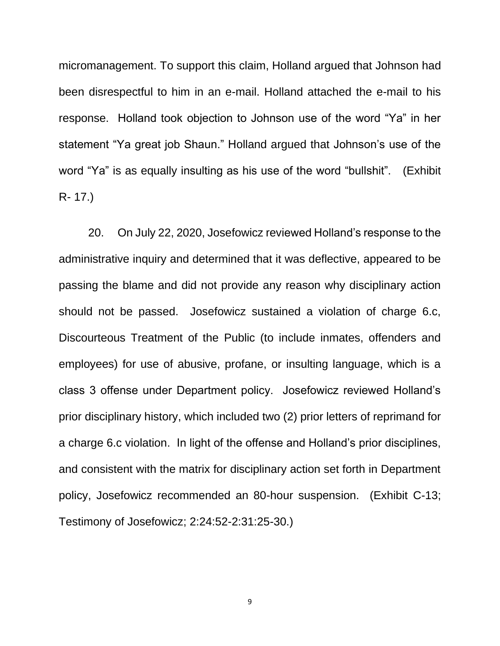micromanagement. To support this claim, Holland argued that Johnson had been disrespectful to him in an e-mail. Holland attached the e-mail to his response. Holland took objection to Johnson use of the word "Ya" in her statement "Ya great job Shaun." Holland argued that Johnson's use of the word "Ya" is as equally insulting as his use of the word "bullshit". (Exhibit R- 17.)

20. On July 22, 2020, Josefowicz reviewed Holland's response to the administrative inquiry and determined that it was deflective, appeared to be passing the blame and did not provide any reason why disciplinary action should not be passed. Josefowicz sustained a violation of charge 6.c, Discourteous Treatment of the Public (to include inmates, offenders and employees) for use of abusive, profane, or insulting language, which is a class 3 offense under Department policy. Josefowicz reviewed Holland's prior disciplinary history, which included two (2) prior letters of reprimand for a charge 6.c violation. In light of the offense and Holland's prior disciplines, and consistent with the matrix for disciplinary action set forth in Department policy, Josefowicz recommended an 80-hour suspension. (Exhibit C-13; Testimony of Josefowicz; 2:24:52-2:31:25-30.)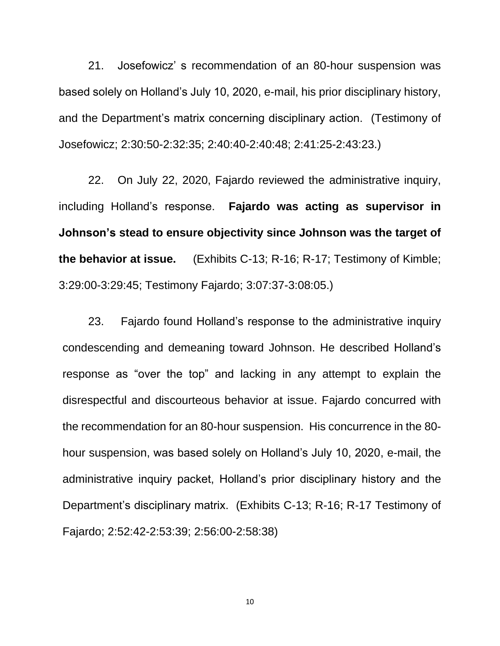21. Josefowicz' s recommendation of an 80-hour suspension was based solely on Holland's July 10, 2020, e-mail, his prior disciplinary history, and the Department's matrix concerning disciplinary action. (Testimony of Josefowicz; 2:30:50-2:32:35; 2:40:40-2:40:48; 2:41:25-2:43:23.)

22. On July 22, 2020, Fajardo reviewed the administrative inquiry, including Holland's response. **Fajardo was acting as supervisor in Johnson's stead to ensure objectivity since Johnson was the target of the behavior at issue.** (Exhibits C-13; R-16; R-17; Testimony of Kimble; 3:29:00-3:29:45; Testimony Fajardo; 3:07:37-3:08:05.)

23. Fajardo found Holland's response to the administrative inquiry condescending and demeaning toward Johnson. He described Holland's response as "over the top" and lacking in any attempt to explain the disrespectful and discourteous behavior at issue. Fajardo concurred with the recommendation for an 80-hour suspension. His concurrence in the 80 hour suspension, was based solely on Holland's July 10, 2020, e-mail, the administrative inquiry packet, Holland's prior disciplinary history and the Department's disciplinary matrix. (Exhibits C-13; R-16; R-17 Testimony of Fajardo; 2:52:42-2:53:39; 2:56:00-2:58:38)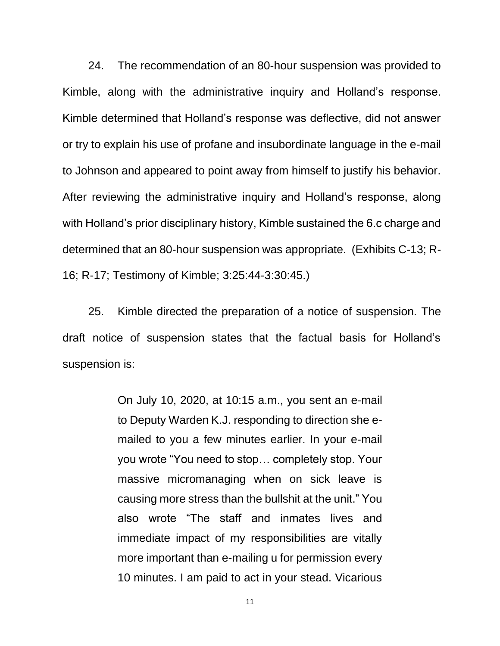24. The recommendation of an 80-hour suspension was provided to Kimble, along with the administrative inquiry and Holland's response. Kimble determined that Holland's response was deflective, did not answer or try to explain his use of profane and insubordinate language in the e-mail to Johnson and appeared to point away from himself to justify his behavior. After reviewing the administrative inquiry and Holland's response, along with Holland's prior disciplinary history, Kimble sustained the 6.c charge and determined that an 80-hour suspension was appropriate. (Exhibits C-13; R-16; R-17; Testimony of Kimble; 3:25:44-3:30:45.)

25. Kimble directed the preparation of a notice of suspension. The draft notice of suspension states that the factual basis for Holland's suspension is:

> On July 10, 2020, at 10:15 a.m., you sent an e-mail to Deputy Warden K.J. responding to direction she emailed to you a few minutes earlier. In your e-mail you wrote "You need to stop… completely stop. Your massive micromanaging when on sick leave is causing more stress than the bullshit at the unit." You also wrote "The staff and inmates lives and immediate impact of my responsibilities are vitally more important than e-mailing u for permission every 10 minutes. I am paid to act in your stead. Vicarious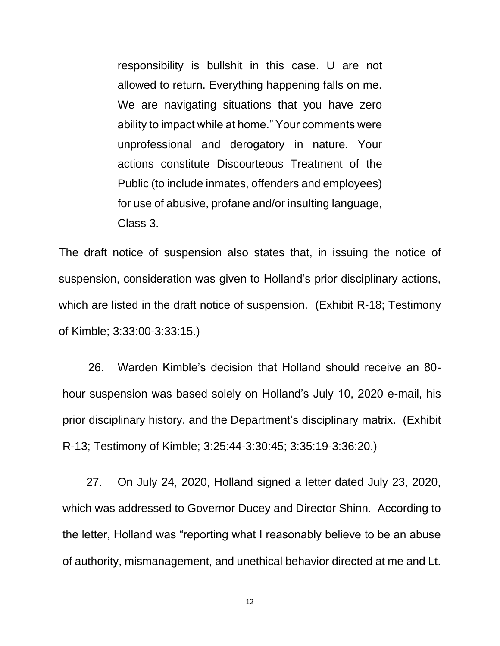responsibility is bullshit in this case. U are not allowed to return. Everything happening falls on me. We are navigating situations that you have zero ability to impact while at home." Your comments were unprofessional and derogatory in nature. Your actions constitute Discourteous Treatment of the Public (to include inmates, offenders and employees) for use of abusive, profane and/or insulting language, Class 3.

The draft notice of suspension also states that, in issuing the notice of suspension, consideration was given to Holland's prior disciplinary actions, which are listed in the draft notice of suspension. (Exhibit R-18; Testimony of Kimble; 3:33:00-3:33:15.)

26. Warden Kimble's decision that Holland should receive an 80 hour suspension was based solely on Holland's July 10, 2020 e-mail, his prior disciplinary history, and the Department's disciplinary matrix. (Exhibit R-13; Testimony of Kimble; 3:25:44-3:30:45; 3:35:19-3:36:20.)

 27. On July 24, 2020, Holland signed a letter dated July 23, 2020, which was addressed to Governor Ducey and Director Shinn. According to the letter, Holland was "reporting what I reasonably believe to be an abuse of authority, mismanagement, and unethical behavior directed at me and Lt.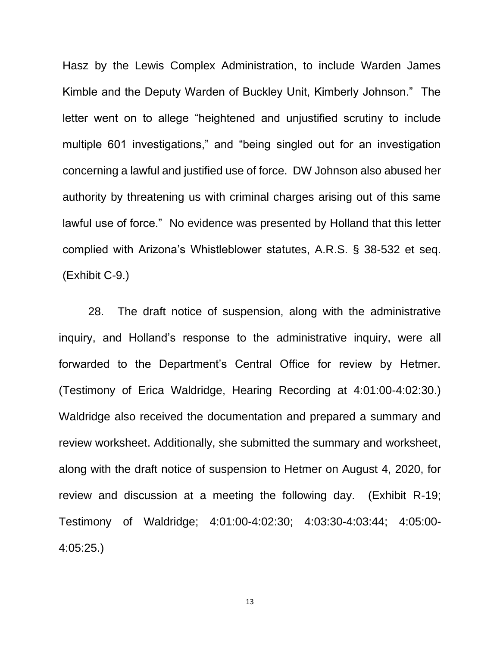Hasz by the Lewis Complex Administration, to include Warden James Kimble and the Deputy Warden of Buckley Unit, Kimberly Johnson." The letter went on to allege "heightened and unjustified scrutiny to include multiple 601 investigations," and "being singled out for an investigation concerning a lawful and justified use of force. DW Johnson also abused her authority by threatening us with criminal charges arising out of this same lawful use of force." No evidence was presented by Holland that this letter complied with Arizona's Whistleblower statutes, A.R.S. § 38-532 et seq. (Exhibit C-9.)

28. The draft notice of suspension, along with the administrative inquiry, and Holland's response to the administrative inquiry, were all forwarded to the Department's Central Office for review by Hetmer. (Testimony of Erica Waldridge, Hearing Recording at 4:01:00-4:02:30.) Waldridge also received the documentation and prepared a summary and review worksheet. Additionally, she submitted the summary and worksheet, along with the draft notice of suspension to Hetmer on August 4, 2020, for review and discussion at a meeting the following day. (Exhibit R-19; Testimony of Waldridge; 4:01:00-4:02:30; 4:03:30-4:03:44; 4:05:00- 4:05:25.)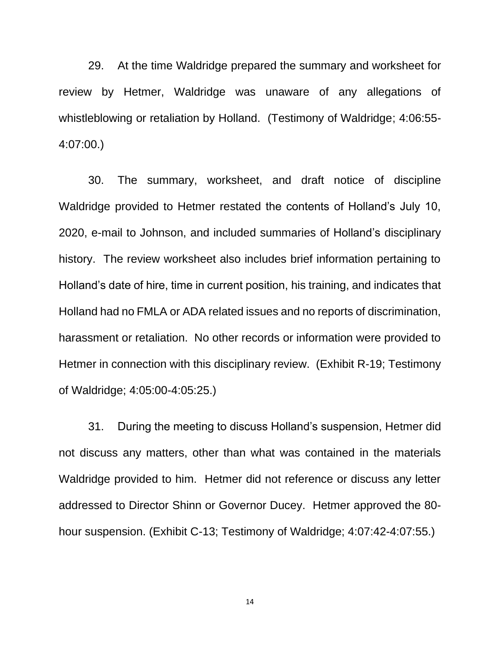29. At the time Waldridge prepared the summary and worksheet for review by Hetmer, Waldridge was unaware of any allegations of whistleblowing or retaliation by Holland. (Testimony of Waldridge; 4:06:55- 4:07:00.)

30. The summary, worksheet, and draft notice of discipline Waldridge provided to Hetmer restated the contents of Holland's July 10, 2020, e-mail to Johnson, and included summaries of Holland's disciplinary history. The review worksheet also includes brief information pertaining to Holland's date of hire, time in current position, his training, and indicates that Holland had no FMLA or ADA related issues and no reports of discrimination, harassment or retaliation. No other records or information were provided to Hetmer in connection with this disciplinary review. (Exhibit R-19; Testimony of Waldridge; 4:05:00-4:05:25.)

31. During the meeting to discuss Holland's suspension, Hetmer did not discuss any matters, other than what was contained in the materials Waldridge provided to him. Hetmer did not reference or discuss any letter addressed to Director Shinn or Governor Ducey. Hetmer approved the 80 hour suspension. (Exhibit C-13; Testimony of Waldridge; 4:07:42-4:07:55.)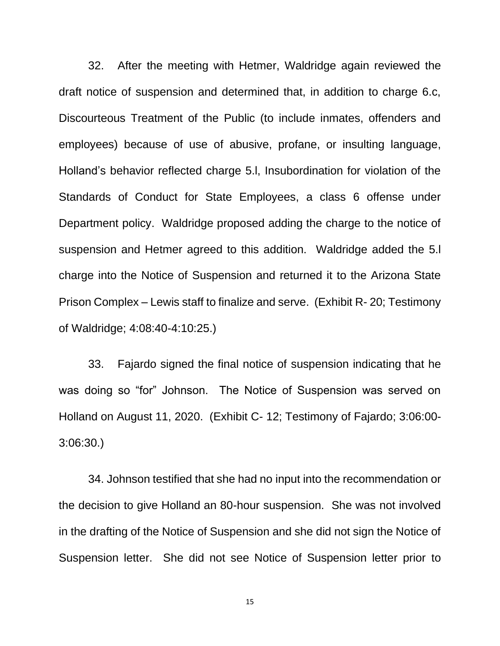32. After the meeting with Hetmer, Waldridge again reviewed the draft notice of suspension and determined that, in addition to charge 6.c, Discourteous Treatment of the Public (to include inmates, offenders and employees) because of use of abusive, profane, or insulting language, Holland's behavior reflected charge 5.l, Insubordination for violation of the Standards of Conduct for State Employees, a class 6 offense under Department policy. Waldridge proposed adding the charge to the notice of suspension and Hetmer agreed to this addition. Waldridge added the 5.l charge into the Notice of Suspension and returned it to the Arizona State Prison Complex – Lewis staff to finalize and serve. (Exhibit R- 20; Testimony of Waldridge; 4:08:40-4:10:25.)

33. Fajardo signed the final notice of suspension indicating that he was doing so "for" Johnson. The Notice of Suspension was served on Holland on August 11, 2020. (Exhibit C- 12; Testimony of Fajardo; 3:06:00- 3:06:30.)

34. Johnson testified that she had no input into the recommendation or the decision to give Holland an 80-hour suspension. She was not involved in the drafting of the Notice of Suspension and she did not sign the Notice of Suspension letter. She did not see Notice of Suspension letter prior to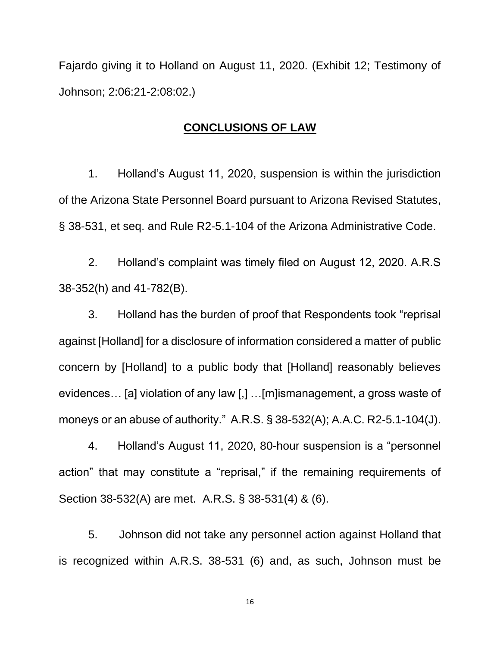Fajardo giving it to Holland on August 11, 2020. (Exhibit 12; Testimony of Johnson; 2:06:21-2:08:02.)

## **CONCLUSIONS OF LAW**

1. Holland's August 11, 2020, suspension is within the jurisdiction of the Arizona State Personnel Board pursuant to Arizona Revised Statutes, § 38-531, et seq. and Rule R2-5.1-104 of the Arizona Administrative Code.

2. Holland's complaint was timely filed on August 12, 2020. A.R.S 38-352(h) and 41-782(B).

3. Holland has the burden of proof that Respondents took "reprisal against [Holland] for a disclosure of information considered a matter of public concern by [Holland] to a public body that [Holland] reasonably believes evidences… [a] violation of any law [,] …[m]ismanagement, a gross waste of moneys or an abuse of authority." A.R.S. § 38-532(A); A.A.C. R2-5.1-104(J).

4. Holland's August 11, 2020, 80-hour suspension is a "personnel action" that may constitute a "reprisal," if the remaining requirements of Section 38-532(A) are met. A.R.S. § 38-531(4) & (6).

5. Johnson did not take any personnel action against Holland that is recognized within A.R.S. 38-531 (6) and, as such, Johnson must be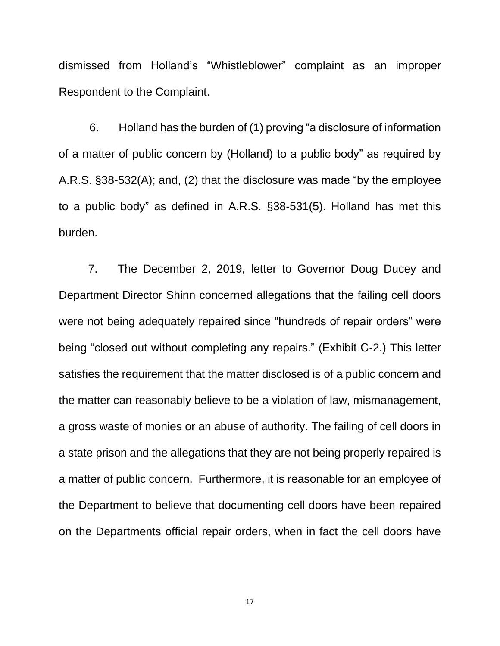dismissed from Holland's "Whistleblower" complaint as an improper Respondent to the Complaint.

 6. Holland has the burden of (1) proving "a disclosure of information of a matter of public concern by (Holland) to a public body" as required by A.R.S. §38-532(A); and, (2) that the disclosure was made "by the employee to a public body" as defined in A.R.S. §38-531(5). Holland has met this burden.

7. The December 2, 2019, letter to Governor Doug Ducey and Department Director Shinn concerned allegations that the failing cell doors were not being adequately repaired since "hundreds of repair orders" were being "closed out without completing any repairs." (Exhibit C-2.) This letter satisfies the requirement that the matter disclosed is of a public concern and the matter can reasonably believe to be a violation of law, mismanagement, a gross waste of monies or an abuse of authority. The failing of cell doors in a state prison and the allegations that they are not being properly repaired is a matter of public concern. Furthermore, it is reasonable for an employee of the Department to believe that documenting cell doors have been repaired on the Departments official repair orders, when in fact the cell doors have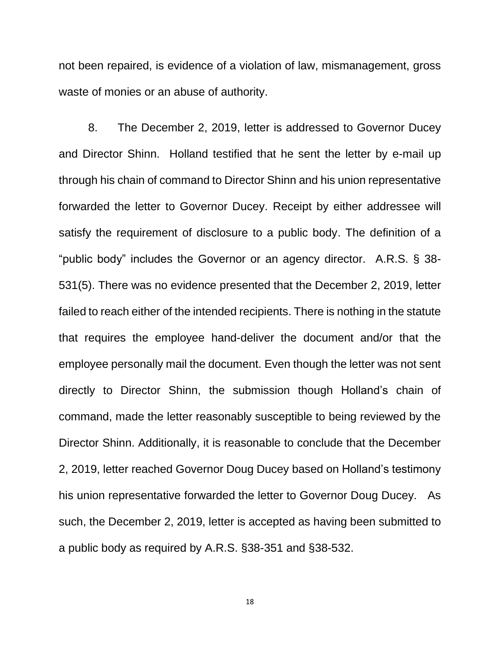not been repaired, is evidence of a violation of law, mismanagement, gross waste of monies or an abuse of authority.

8. The December 2, 2019, letter is addressed to Governor Ducey and Director Shinn. Holland testified that he sent the letter by e-mail up through his chain of command to Director Shinn and his union representative forwarded the letter to Governor Ducey. Receipt by either addressee will satisfy the requirement of disclosure to a public body. The definition of a "public body" includes the Governor or an agency director. A.R.S. § 38- 531(5). There was no evidence presented that the December 2, 2019, letter failed to reach either of the intended recipients. There is nothing in the statute that requires the employee hand-deliver the document and/or that the employee personally mail the document. Even though the letter was not sent directly to Director Shinn, the submission though Holland's chain of command, made the letter reasonably susceptible to being reviewed by the Director Shinn. Additionally, it is reasonable to conclude that the December 2, 2019, letter reached Governor Doug Ducey based on Holland's testimony his union representative forwarded the letter to Governor Doug Ducey. As such, the December 2, 2019, letter is accepted as having been submitted to a public body as required by A.R.S. §38-351 and §38-532.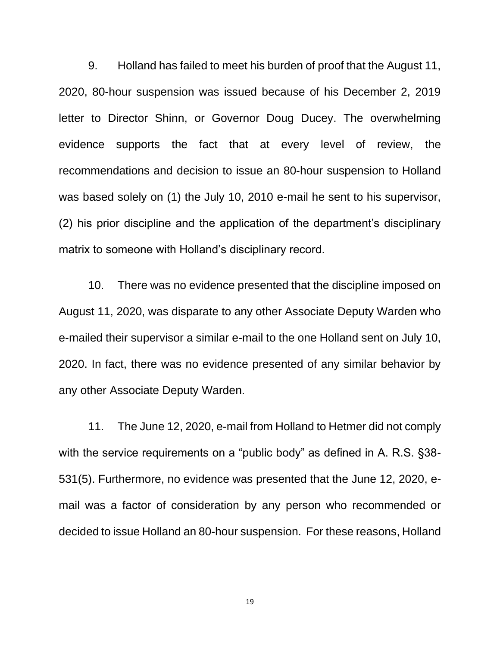9. Holland has failed to meet his burden of proof that the August 11, 2020, 80-hour suspension was issued because of his December 2, 2019 letter to Director Shinn, or Governor Doug Ducey. The overwhelming evidence supports the fact that at every level of review, the recommendations and decision to issue an 80-hour suspension to Holland was based solely on (1) the July 10, 2010 e-mail he sent to his supervisor, (2) his prior discipline and the application of the department's disciplinary matrix to someone with Holland's disciplinary record.

10. There was no evidence presented that the discipline imposed on August 11, 2020, was disparate to any other Associate Deputy Warden who e-mailed their supervisor a similar e-mail to the one Holland sent on July 10, 2020. In fact, there was no evidence presented of any similar behavior by any other Associate Deputy Warden.

11. The June 12, 2020, e-mail from Holland to Hetmer did not comply with the service requirements on a "public body" as defined in A. R.S. §38-531(5). Furthermore, no evidence was presented that the June 12, 2020, email was a factor of consideration by any person who recommended or decided to issue Holland an 80-hour suspension. For these reasons, Holland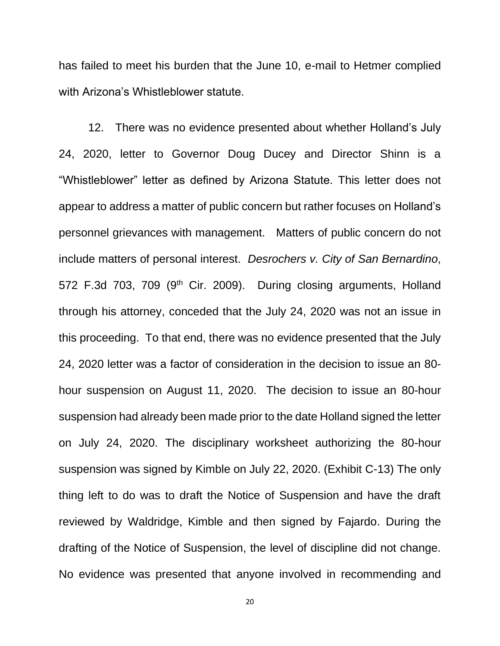has failed to meet his burden that the June 10, e-mail to Hetmer complied with Arizona's Whistleblower statute.

12. There was no evidence presented about whether Holland's July 24, 2020, letter to Governor Doug Ducey and Director Shinn is a "Whistleblower" letter as defined by Arizona Statute. This letter does not appear to address a matter of public concern but rather focuses on Holland's personnel grievances with management. Matters of public concern do not include matters of personal interest. *Desrochers v. City of San Bernardino*, 572 F.3d 703, 709 (9<sup>th</sup> Cir. 2009). During closing arguments, Holland through his attorney, conceded that the July 24, 2020 was not an issue in this proceeding. To that end, there was no evidence presented that the July 24, 2020 letter was a factor of consideration in the decision to issue an 80 hour suspension on August 11, 2020. The decision to issue an 80-hour suspension had already been made prior to the date Holland signed the letter on July 24, 2020. The disciplinary worksheet authorizing the 80-hour suspension was signed by Kimble on July 22, 2020. (Exhibit C-13) The only thing left to do was to draft the Notice of Suspension and have the draft reviewed by Waldridge, Kimble and then signed by Fajardo. During the drafting of the Notice of Suspension, the level of discipline did not change. No evidence was presented that anyone involved in recommending and